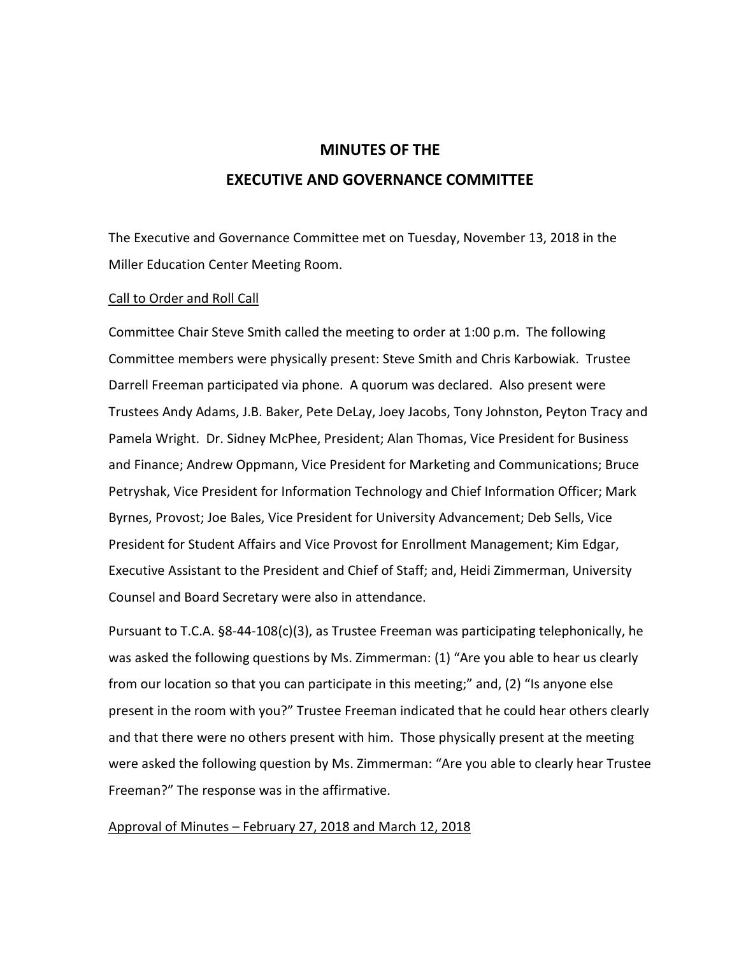# **MINUTES OF THE EXECUTIVE AND GOVERNANCE COMMITTEE**

The Executive and Governance Committee met on Tuesday, November 13, 2018 in the Miller Education Center Meeting Room.

## Call to Order and Roll Call

Committee Chair Steve Smith called the meeting to order at 1:00 p.m. The following Committee members were physically present: Steve Smith and Chris Karbowiak. Trustee Darrell Freeman participated via phone. A quorum was declared. Also present were Trustees Andy Adams, J.B. Baker, Pete DeLay, Joey Jacobs, Tony Johnston, Peyton Tracy and Pamela Wright. Dr. Sidney McPhee, President; Alan Thomas, Vice President for Business and Finance; Andrew Oppmann, Vice President for Marketing and Communications; Bruce Petryshak, Vice President for Information Technology and Chief Information Officer; Mark Byrnes, Provost; Joe Bales, Vice President for University Advancement; Deb Sells, Vice President for Student Affairs and Vice Provost for Enrollment Management; Kim Edgar, Executive Assistant to the President and Chief of Staff; and, Heidi Zimmerman, University Counsel and Board Secretary were also in attendance.

Pursuant to T.C.A. §8-44-108(c)(3), as Trustee Freeman was participating telephonically, he was asked the following questions by Ms. Zimmerman: (1) "Are you able to hear us clearly from our location so that you can participate in this meeting;" and, (2) "Is anyone else present in the room with you?" Trustee Freeman indicated that he could hear others clearly and that there were no others present with him. Those physically present at the meeting were asked the following question by Ms. Zimmerman: "Are you able to clearly hear Trustee Freeman?" The response was in the affirmative.

## Approval of Minutes – February 27, 2018 and March 12, 2018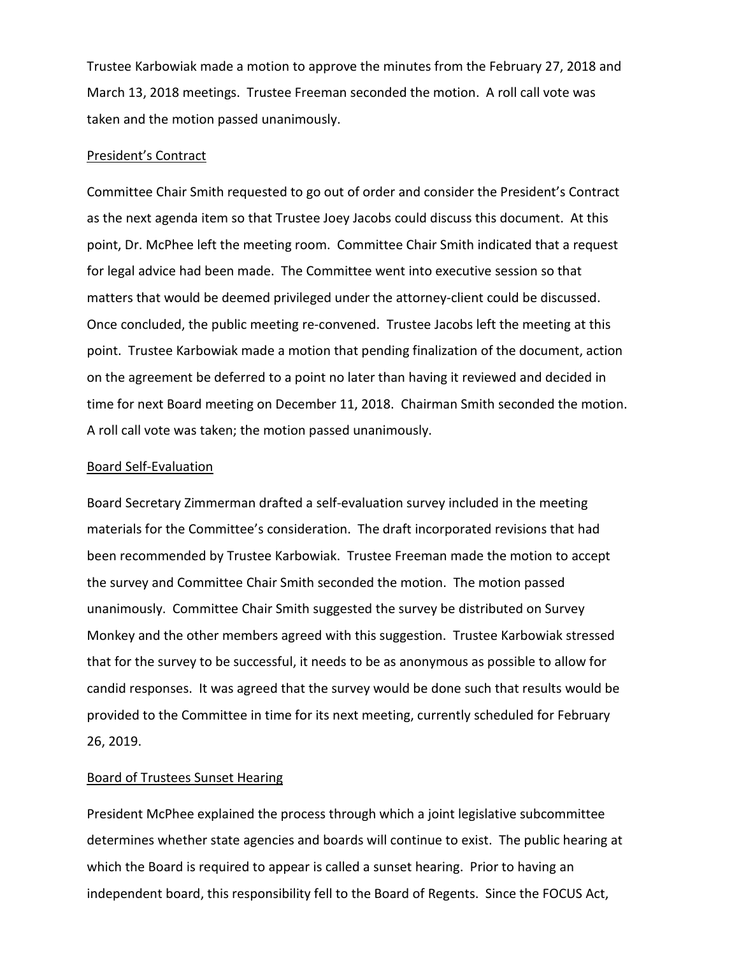Trustee Karbowiak made a motion to approve the minutes from the February 27, 2018 and March 13, 2018 meetings. Trustee Freeman seconded the motion. A roll call vote was taken and the motion passed unanimously.

### President's Contract

Committee Chair Smith requested to go out of order and consider the President's Contract as the next agenda item so that Trustee Joey Jacobs could discuss this document. At this point, Dr. McPhee left the meeting room. Committee Chair Smith indicated that a request for legal advice had been made. The Committee went into executive session so that matters that would be deemed privileged under the attorney-client could be discussed. Once concluded, the public meeting re-convened. Trustee Jacobs left the meeting at this point. Trustee Karbowiak made a motion that pending finalization of the document, action on the agreement be deferred to a point no later than having it reviewed and decided in time for next Board meeting on December 11, 2018. Chairman Smith seconded the motion. A roll call vote was taken; the motion passed unanimously.

### Board Self-Evaluation

Board Secretary Zimmerman drafted a self-evaluation survey included in the meeting materials for the Committee's consideration. The draft incorporated revisions that had been recommended by Trustee Karbowiak. Trustee Freeman made the motion to accept the survey and Committee Chair Smith seconded the motion. The motion passed unanimously. Committee Chair Smith suggested the survey be distributed on Survey Monkey and the other members agreed with this suggestion. Trustee Karbowiak stressed that for the survey to be successful, it needs to be as anonymous as possible to allow for candid responses. It was agreed that the survey would be done such that results would be provided to the Committee in time for its next meeting, currently scheduled for February 26, 2019.

#### Board of Trustees Sunset Hearing

President McPhee explained the process through which a joint legislative subcommittee determines whether state agencies and boards will continue to exist. The public hearing at which the Board is required to appear is called a sunset hearing. Prior to having an independent board, this responsibility fell to the Board of Regents. Since the FOCUS Act,